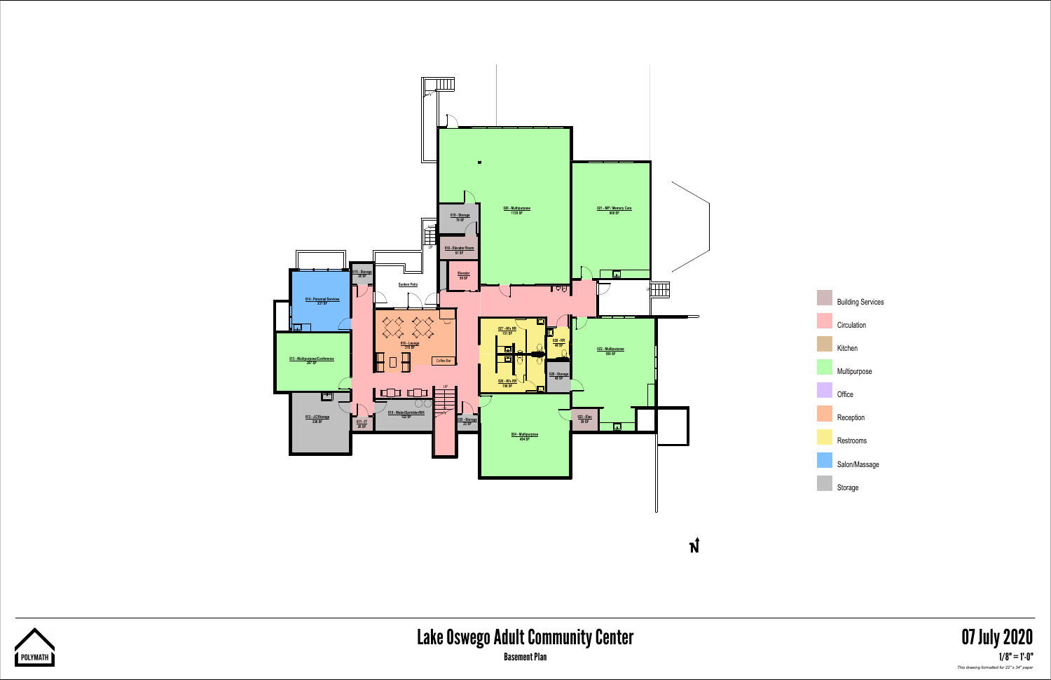



| <b>Building Services</b> |
|--------------------------|
| Circulation              |
| Kitchen                  |
| Multipurpose             |
| Office                   |
| Reception                |
| <b>Restrooms</b>         |
| Salon/Massage            |
| Storage                  |

*This drawing formatted for 22" x 34" paper*



## Lake Oswego Adult Community Center 07 July 2020